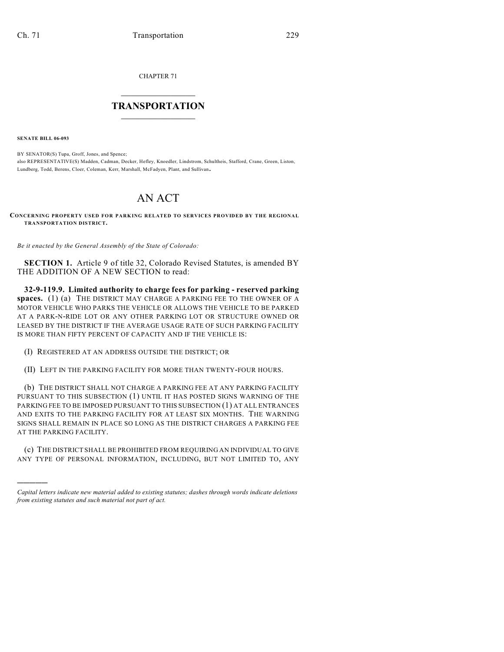CHAPTER 71

## $\overline{\phantom{a}}$  . The set of the set of the set of the set of the set of the set of the set of the set of the set of the set of the set of the set of the set of the set of the set of the set of the set of the set of the set o **TRANSPORTATION**  $\_$   $\_$   $\_$   $\_$   $\_$   $\_$   $\_$   $\_$   $\_$

**SENATE BILL 06-093**

)))))

BY SENATOR(S) Tupa, Groff, Jones, and Spence; also REPRESENTATIVE(S) Madden, Cadman, Decker, Hefley, Knoedler, Lindstrom, Schultheis, Stafford, Crane, Green, Liston, Lundberg, Todd, Berens, Cloer, Coleman, Kerr, Marshall, McFadyen, Plant, and Sullivan.

## AN ACT

**CONCERNING PROPERTY USED FOR PARKING RELATED TO SERVICES PROVIDED BY THE REGIONAL TRANSPORTATION DISTRICT.**

*Be it enacted by the General Assembly of the State of Colorado:*

**SECTION 1.** Article 9 of title 32, Colorado Revised Statutes, is amended BY THE ADDITION OF A NEW SECTION to read:

**32-9-119.9. Limited authority to charge fees for parking - reserved parking spaces.** (1) (a) THE DISTRICT MAY CHARGE A PARKING FEE TO THE OWNER OF A MOTOR VEHICLE WHO PARKS THE VEHICLE OR ALLOWS THE VEHICLE TO BE PARKED AT A PARK-N-RIDE LOT OR ANY OTHER PARKING LOT OR STRUCTURE OWNED OR LEASED BY THE DISTRICT IF THE AVERAGE USAGE RATE OF SUCH PARKING FACILITY IS MORE THAN FIFTY PERCENT OF CAPACITY AND IF THE VEHICLE IS:

- (I) REGISTERED AT AN ADDRESS OUTSIDE THE DISTRICT; OR
- (II) LEFT IN THE PARKING FACILITY FOR MORE THAN TWENTY-FOUR HOURS.

(b) THE DISTRICT SHALL NOT CHARGE A PARKING FEE AT ANY PARKING FACILITY PURSUANT TO THIS SUBSECTION (1) UNTIL IT HAS POSTED SIGNS WARNING OF THE PARKING FEE TO BE IMPOSED PURSUANT TO THIS SUBSECTION (1) AT ALL ENTRANCES AND EXITS TO THE PARKING FACILITY FOR AT LEAST SIX MONTHS. THE WARNING SIGNS SHALL REMAIN IN PLACE SO LONG AS THE DISTRICT CHARGES A PARKING FEE AT THE PARKING FACILITY.

(c) THE DISTRICT SHALL BE PROHIBITED FROM REQUIRING AN INDIVIDUAL TO GIVE ANY TYPE OF PERSONAL INFORMATION, INCLUDING, BUT NOT LIMITED TO, ANY

*Capital letters indicate new material added to existing statutes; dashes through words indicate deletions from existing statutes and such material not part of act.*